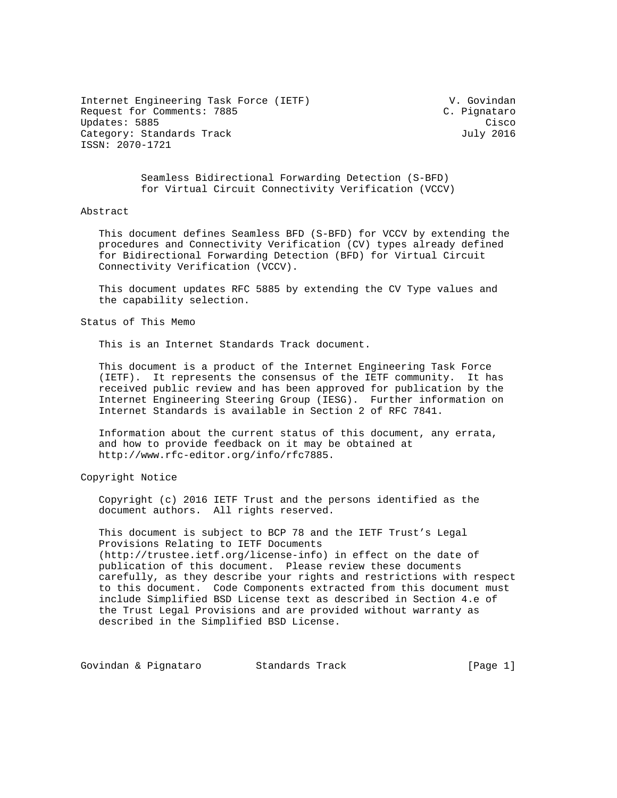Internet Engineering Task Force (IETF) V. Govindan Request for Comments: 7885 Updates: 5885 Cisco Cisco Cisco Cisco Cisco Cisco Cisco Cisco Cisco Cisco Cisco Cisco Cisco Cisco Cisco Cisco Category: Standards Track July 2016 ISSN: 2070-1721

 Seamless Bidirectional Forwarding Detection (S-BFD) for Virtual Circuit Connectivity Verification (VCCV)

## Abstract

 This document defines Seamless BFD (S-BFD) for VCCV by extending the procedures and Connectivity Verification (CV) types already defined for Bidirectional Forwarding Detection (BFD) for Virtual Circuit Connectivity Verification (VCCV).

 This document updates RFC 5885 by extending the CV Type values and the capability selection.

Status of This Memo

This is an Internet Standards Track document.

 This document is a product of the Internet Engineering Task Force (IETF). It represents the consensus of the IETF community. It has received public review and has been approved for publication by the Internet Engineering Steering Group (IESG). Further information on Internet Standards is available in Section 2 of RFC 7841.

 Information about the current status of this document, any errata, and how to provide feedback on it may be obtained at http://www.rfc-editor.org/info/rfc7885.

Copyright Notice

 Copyright (c) 2016 IETF Trust and the persons identified as the document authors. All rights reserved.

 This document is subject to BCP 78 and the IETF Trust's Legal Provisions Relating to IETF Documents (http://trustee.ietf.org/license-info) in effect on the date of publication of this document. Please review these documents carefully, as they describe your rights and restrictions with respect to this document. Code Components extracted from this document must include Simplified BSD License text as described in Section 4.e of the Trust Legal Provisions and are provided without warranty as described in the Simplified BSD License.

Govindan & Pignataro Standards Track (Page 1)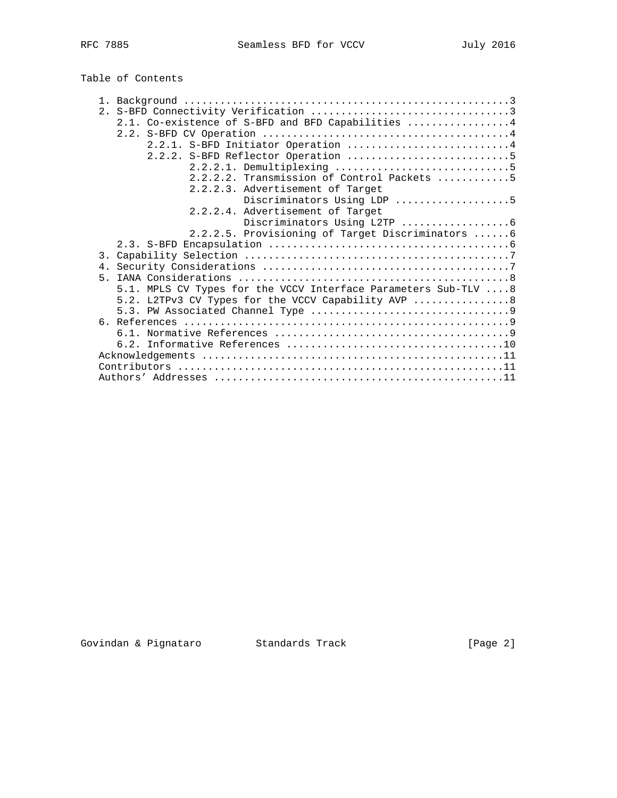| Table of Contents |  |
|-------------------|--|
|-------------------|--|

| 2.1. Co-existence of S-BFD and BFD Capabilities  4              |
|-----------------------------------------------------------------|
|                                                                 |
| 2.2.1. S-BFD Initiator Operation 4                              |
| 2.2.2. S-BFD Reflector Operation 5                              |
| 2.2.2.1. Demultiplexing 5                                       |
| 2.2.2.2. Transmission of Control Packets 5                      |
| 2.2.2.3. Advertisement of Target                                |
| Discriminators Using LDP 5                                      |
| 2.2.2.4. Advertisement of Target                                |
|                                                                 |
| 2.2.2.5. Provisioning of Target Discriminators 6                |
|                                                                 |
|                                                                 |
|                                                                 |
| 5                                                               |
|                                                                 |
| 5.1. MPLS CV Types for the VCCV Interface Parameters Sub-TLV  8 |
| 5.2. L2TPv3 CV Types for the VCCV Capability AVP  8             |
|                                                                 |
|                                                                 |
|                                                                 |
|                                                                 |
|                                                                 |
|                                                                 |
|                                                                 |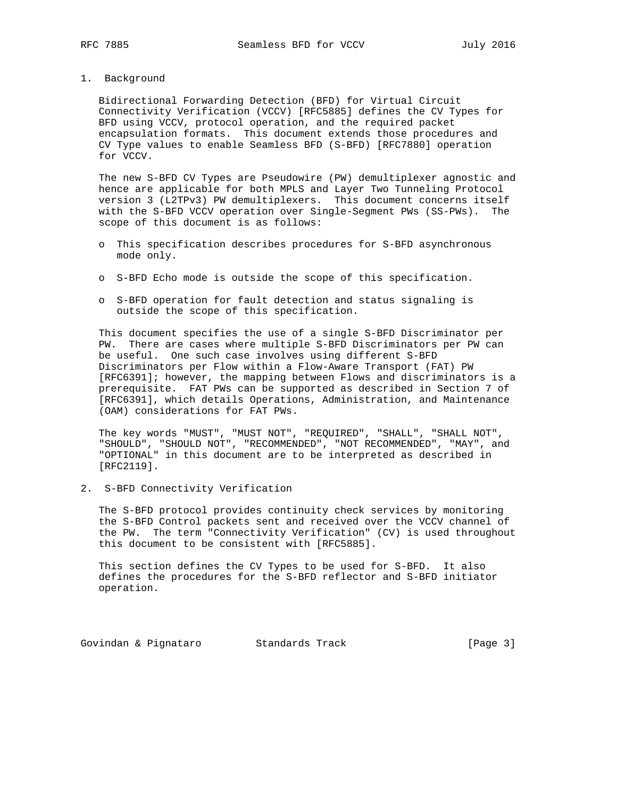1. Background

 Bidirectional Forwarding Detection (BFD) for Virtual Circuit Connectivity Verification (VCCV) [RFC5885] defines the CV Types for BFD using VCCV, protocol operation, and the required packet encapsulation formats. This document extends those procedures and CV Type values to enable Seamless BFD (S-BFD) [RFC7880] operation for VCCV.

 The new S-BFD CV Types are Pseudowire (PW) demultiplexer agnostic and hence are applicable for both MPLS and Layer Two Tunneling Protocol version 3 (L2TPv3) PW demultiplexers. This document concerns itself with the S-BFD VCCV operation over Single-Segment PWs (SS-PWs). The scope of this document is as follows:

- o This specification describes procedures for S-BFD asynchronous mode only.
- o S-BFD Echo mode is outside the scope of this specification.
- o S-BFD operation for fault detection and status signaling is outside the scope of this specification.

 This document specifies the use of a single S-BFD Discriminator per PW. There are cases where multiple S-BFD Discriminators per PW can be useful. One such case involves using different S-BFD Discriminators per Flow within a Flow-Aware Transport (FAT) PW [RFC6391]; however, the mapping between Flows and discriminators is a prerequisite. FAT PWs can be supported as described in Section 7 of [RFC6391], which details Operations, Administration, and Maintenance (OAM) considerations for FAT PWs.

 The key words "MUST", "MUST NOT", "REQUIRED", "SHALL", "SHALL NOT", "SHOULD", "SHOULD NOT", "RECOMMENDED", "NOT RECOMMENDED", "MAY", and "OPTIONAL" in this document are to be interpreted as described in [RFC2119].

2. S-BFD Connectivity Verification

 The S-BFD protocol provides continuity check services by monitoring the S-BFD Control packets sent and received over the VCCV channel of the PW. The term "Connectivity Verification" (CV) is used throughout this document to be consistent with [RFC5885].

 This section defines the CV Types to be used for S-BFD. It also defines the procedures for the S-BFD reflector and S-BFD initiator operation.

Govindan & Pignataro Standards Track (Page 3)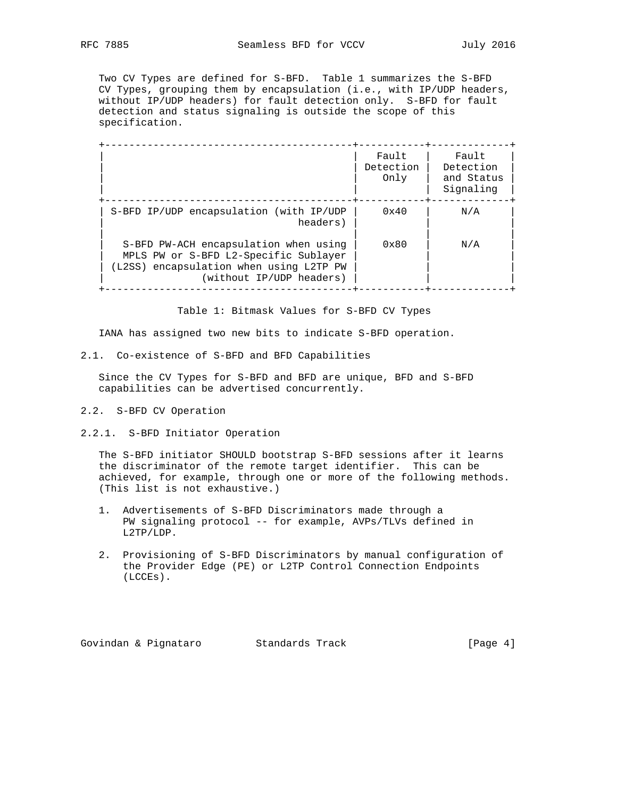Two CV Types are defined for S-BFD. Table 1 summarizes the S-BFD CV Types, grouping them by encapsulation (i.e., with IP/UDP headers, without IP/UDP headers) for fault detection only. S-BFD for fault detection and status signaling is outside the scope of this specification.

|                                                                                                                                                       | Fault<br>Detection<br>Only | Fault<br>Detection<br>and Status<br>Signaling |
|-------------------------------------------------------------------------------------------------------------------------------------------------------|----------------------------|-----------------------------------------------|
| S-BFD IP/UDP encapsulation (with IP/UDP<br>headers)                                                                                                   | $0 \times 40$              | N/A                                           |
| S-BFD PW-ACH encapsulation when using<br>MPLS PW or S-BFD L2-Specific Sublayer<br>(L2SS) encapsulation when using L2TP PW<br>(without IP/UDP headers) | $0 \times 80$              | N/A                                           |

Table 1: Bitmask Values for S-BFD CV Types

IANA has assigned two new bits to indicate S-BFD operation.

2.1. Co-existence of S-BFD and BFD Capabilities

 Since the CV Types for S-BFD and BFD are unique, BFD and S-BFD capabilities can be advertised concurrently.

- 2.2. S-BFD CV Operation
- 2.2.1. S-BFD Initiator Operation

 The S-BFD initiator SHOULD bootstrap S-BFD sessions after it learns the discriminator of the remote target identifier. This can be achieved, for example, through one or more of the following methods. (This list is not exhaustive.)

- 1. Advertisements of S-BFD Discriminators made through a PW signaling protocol -- for example, AVPs/TLVs defined in L2TP/LDP.
- 2. Provisioning of S-BFD Discriminators by manual configuration of the Provider Edge (PE) or L2TP Control Connection Endpoints (LCCEs).

Govindan & Pignataro Standards Track (Page 4)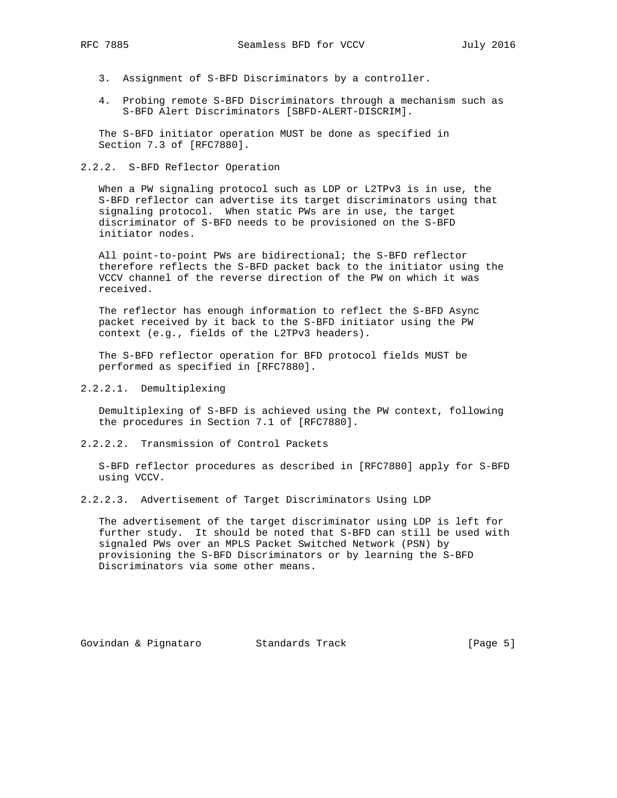- - 3. Assignment of S-BFD Discriminators by a controller.
	- 4. Probing remote S-BFD Discriminators through a mechanism such as S-BFD Alert Discriminators [SBFD-ALERT-DISCRIM].

 The S-BFD initiator operation MUST be done as specified in Section 7.3 of [RFC7880].

#### 2.2.2. S-BFD Reflector Operation

 When a PW signaling protocol such as LDP or L2TPv3 is in use, the S-BFD reflector can advertise its target discriminators using that signaling protocol. When static PWs are in use, the target discriminator of S-BFD needs to be provisioned on the S-BFD initiator nodes.

 All point-to-point PWs are bidirectional; the S-BFD reflector therefore reflects the S-BFD packet back to the initiator using the VCCV channel of the reverse direction of the PW on which it was received.

 The reflector has enough information to reflect the S-BFD Async packet received by it back to the S-BFD initiator using the PW context (e.g., fields of the L2TPv3 headers).

 The S-BFD reflector operation for BFD protocol fields MUST be performed as specified in [RFC7880].

2.2.2.1. Demultiplexing

 Demultiplexing of S-BFD is achieved using the PW context, following the procedures in Section 7.1 of [RFC7880].

2.2.2.2. Transmission of Control Packets

 S-BFD reflector procedures as described in [RFC7880] apply for S-BFD using VCCV.

2.2.2.3. Advertisement of Target Discriminators Using LDP

 The advertisement of the target discriminator using LDP is left for further study. It should be noted that S-BFD can still be used with signaled PWs over an MPLS Packet Switched Network (PSN) by provisioning the S-BFD Discriminators or by learning the S-BFD Discriminators via some other means.

Govindan & Pignataro Standards Track (Page 5)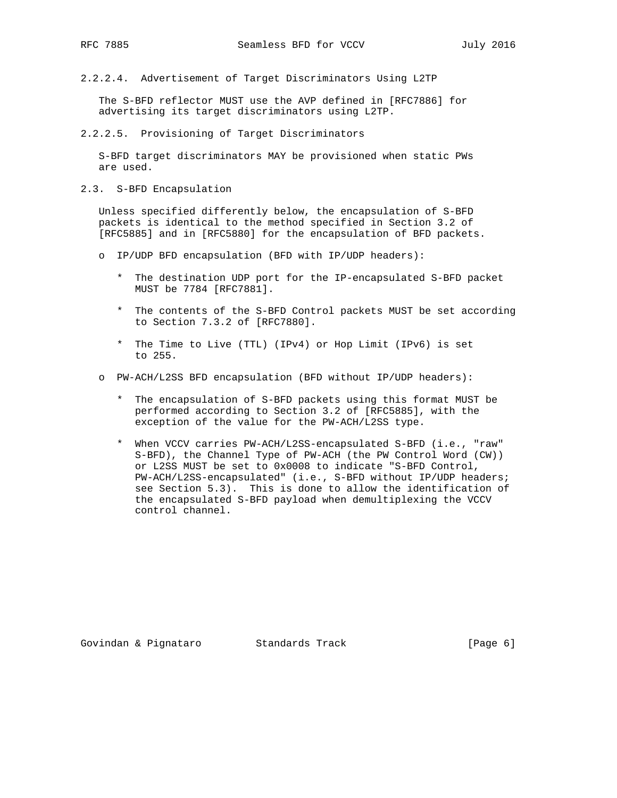2.2.2.4. Advertisement of Target Discriminators Using L2TP

 The S-BFD reflector MUST use the AVP defined in [RFC7886] for advertising its target discriminators using L2TP.

2.2.2.5. Provisioning of Target Discriminators

 S-BFD target discriminators MAY be provisioned when static PWs are used.

2.3. S-BFD Encapsulation

 Unless specified differently below, the encapsulation of S-BFD packets is identical to the method specified in Section 3.2 of [RFC5885] and in [RFC5880] for the encapsulation of BFD packets.

- o IP/UDP BFD encapsulation (BFD with IP/UDP headers):
	- \* The destination UDP port for the IP-encapsulated S-BFD packet MUST be 7784 [RFC7881].
	- \* The contents of the S-BFD Control packets MUST be set according to Section 7.3.2 of [RFC7880].
	- \* The Time to Live (TTL) (IPv4) or Hop Limit (IPv6) is set to 255.
- o PW-ACH/L2SS BFD encapsulation (BFD without IP/UDP headers):
	- \* The encapsulation of S-BFD packets using this format MUST be performed according to Section 3.2 of [RFC5885], with the exception of the value for the PW-ACH/L2SS type.
	- \* When VCCV carries PW-ACH/L2SS-encapsulated S-BFD (i.e., "raw" S-BFD), the Channel Type of PW-ACH (the PW Control Word (CW)) or L2SS MUST be set to 0x0008 to indicate "S-BFD Control, PW-ACH/L2SS-encapsulated" (i.e., S-BFD without IP/UDP headers; see Section 5.3). This is done to allow the identification of the encapsulated S-BFD payload when demultiplexing the VCCV control channel.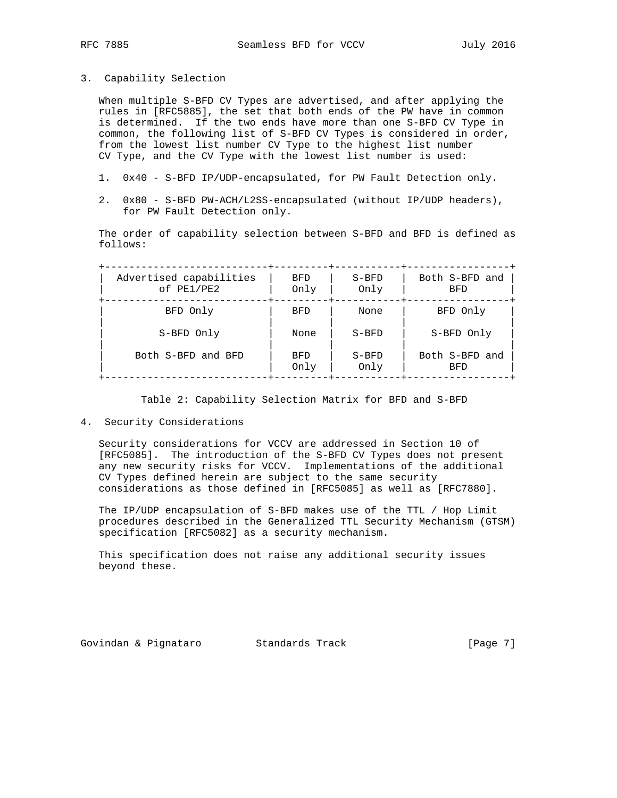3. Capability Selection

 When multiple S-BFD CV Types are advertised, and after applying the rules in [RFC5885], the set that both ends of the PW have in common is determined. If the two ends have more than one S-BFD CV Type in common, the following list of S-BFD CV Types is considered in order, from the lowest list number CV Type to the highest list number CV Type, and the CV Type with the lowest list number is used:

- 1. 0x40 S-BFD IP/UDP-encapsulated, for PW Fault Detection only.
- 2. 0x80 S-BFD PW-ACH/L2SS-encapsulated (without IP/UDP headers), for PW Fault Detection only.

 The order of capability selection between S-BFD and BFD is defined as follows:

 +---------------------------+---------+-----------+-----------------+ | Advertised capabilities | BFD | S-BFD | Both S-BFD and | | of PE1/PE2 | Only | Only | BFD | +---------------------------+---------+-----------+-----------------+ | BFD Only | BFD | None | BFD Only | | | | | | | S-BFD Only | None | S-BFD | S-BFD Only | | | | | | | Both S-BFD and BFD | BFD | S-BFD | Both S-BFD and | | | Only | Only | BFD | +---------------------------+---------+-----------+-----------------+

Table 2: Capability Selection Matrix for BFD and S-BFD

4. Security Considerations

 Security considerations for VCCV are addressed in Section 10 of [RFC5085]. The introduction of the S-BFD CV Types does not present any new security risks for VCCV. Implementations of the additional CV Types defined herein are subject to the same security considerations as those defined in [RFC5085] as well as [RFC7880].

 The IP/UDP encapsulation of S-BFD makes use of the TTL / Hop Limit procedures described in the Generalized TTL Security Mechanism (GTSM) specification [RFC5082] as a security mechanism.

 This specification does not raise any additional security issues beyond these.

Govindan & Pignataro Standards Track (Page 7)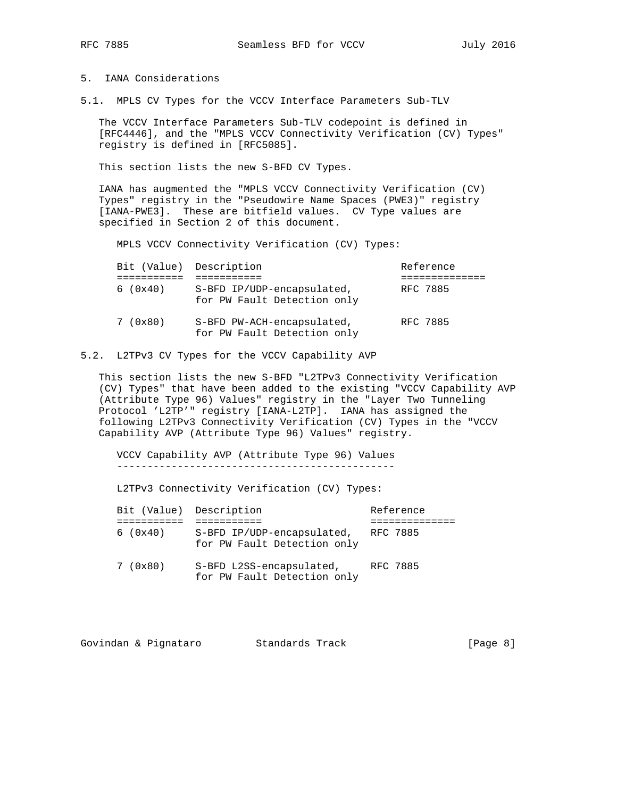# 5. IANA Considerations

5.1. MPLS CV Types for the VCCV Interface Parameters Sub-TLV

 The VCCV Interface Parameters Sub-TLV codepoint is defined in [RFC4446], and the "MPLS VCCV Connectivity Verification (CV) Types" registry is defined in [RFC5085].

This section lists the new S-BFD CV Types.

 IANA has augmented the "MPLS VCCV Connectivity Verification (CV) Types" registry in the "Pseudowire Name Spaces (PWE3)" registry [IANA-PWE3]. These are bitfield values. CV Type values are specified in Section 2 of this document.

MPLS VCCV Connectivity Verification (CV) Types:

| Bit (Value) Description |                                                           | Reference |
|-------------------------|-----------------------------------------------------------|-----------|
|                         |                                                           |           |
| 6(0x40)                 | S-BFD IP/UDP-encapsulated,<br>for PW Fault Detection only | RFC 7885  |
| 7(0x80)                 | S-BFD PW-ACH-encapsulated,<br>for PW Fault Detection only | RFC 7885  |

5.2. L2TPv3 CV Types for the VCCV Capability AVP

 This section lists the new S-BFD "L2TPv3 Connectivity Verification (CV) Types" that have been added to the existing "VCCV Capability AVP (Attribute Type 96) Values" registry in the "Layer Two Tunneling Protocol 'L2TP'" registry [IANA-L2TP]. IANA has assigned the following L2TPv3 Connectivity Verification (CV) Types in the "VCCV Capability AVP (Attribute Type 96) Values" registry.

 VCCV Capability AVP (Attribute Type 96) Values ----------------------------------------------

L2TPv3 Connectivity Verification (CV) Types:

|          | Bit (Value) Description                                   | Reference |
|----------|-----------------------------------------------------------|-----------|
|          |                                                           |           |
| 6(0x40)  | S-BFD IP/UDP-encapsulated,<br>for PW Fault Detection only | RFC 7885  |
| 7 (0x80) | S-BFD L2SS-encapsulated,                                  | RFC 7885  |

for PW Fault Detection only

Govindan & Pignataro Standards Track (Page 8)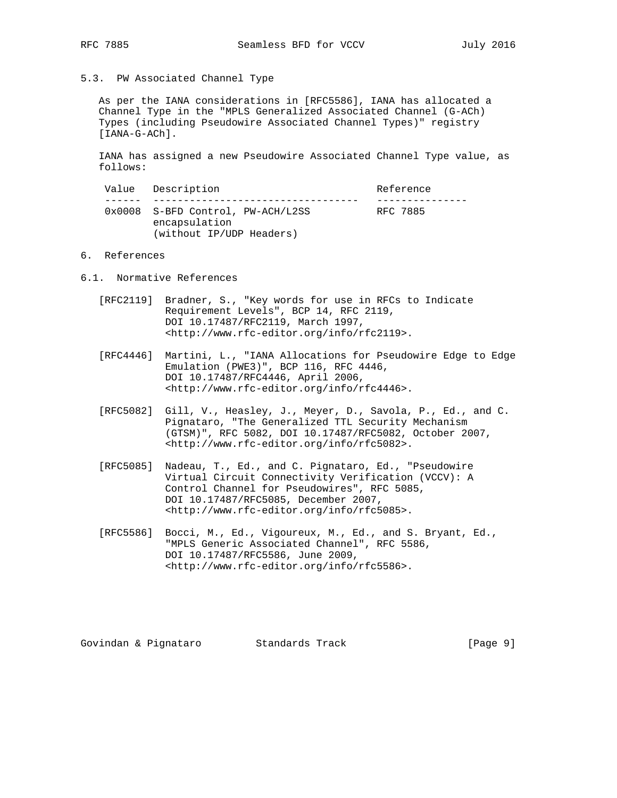5.3. PW Associated Channel Type

 As per the IANA considerations in [RFC5586], IANA has allocated a Channel Type in the "MPLS Generalized Associated Channel (G-ACh) Types (including Pseudowire Associated Channel Types)" registry [IANA-G-ACh].

 IANA has assigned a new Pseudowire Associated Channel Type value, as follows:

|  | Value Description                                  | Reference |  |
|--|----------------------------------------------------|-----------|--|
|  | 0x0008 S-BFD Control, PW-ACH/L2SS<br>encapsulation | RFC 7885  |  |
|  | (without IP/UDP Headers)                           |           |  |

#### 6. References

- 6.1. Normative References
	- [RFC2119] Bradner, S., "Key words for use in RFCs to Indicate Requirement Levels", BCP 14, RFC 2119, DOI 10.17487/RFC2119, March 1997, <http://www.rfc-editor.org/info/rfc2119>.
	- [RFC4446] Martini, L., "IANA Allocations for Pseudowire Edge to Edge Emulation (PWE3)", BCP 116, RFC 4446, DOI 10.17487/RFC4446, April 2006, <http://www.rfc-editor.org/info/rfc4446>.
	- [RFC5082] Gill, V., Heasley, J., Meyer, D., Savola, P., Ed., and C. Pignataro, "The Generalized TTL Security Mechanism (GTSM)", RFC 5082, DOI 10.17487/RFC5082, October 2007, <http://www.rfc-editor.org/info/rfc5082>.
	- [RFC5085] Nadeau, T., Ed., and C. Pignataro, Ed., "Pseudowire Virtual Circuit Connectivity Verification (VCCV): A Control Channel for Pseudowires", RFC 5085, DOI 10.17487/RFC5085, December 2007, <http://www.rfc-editor.org/info/rfc5085>.
	- [RFC5586] Bocci, M., Ed., Vigoureux, M., Ed., and S. Bryant, Ed., "MPLS Generic Associated Channel", RFC 5586, DOI 10.17487/RFC5586, June 2009, <http://www.rfc-editor.org/info/rfc5586>.

Govindan & Pignataro Standards Track (Page 9)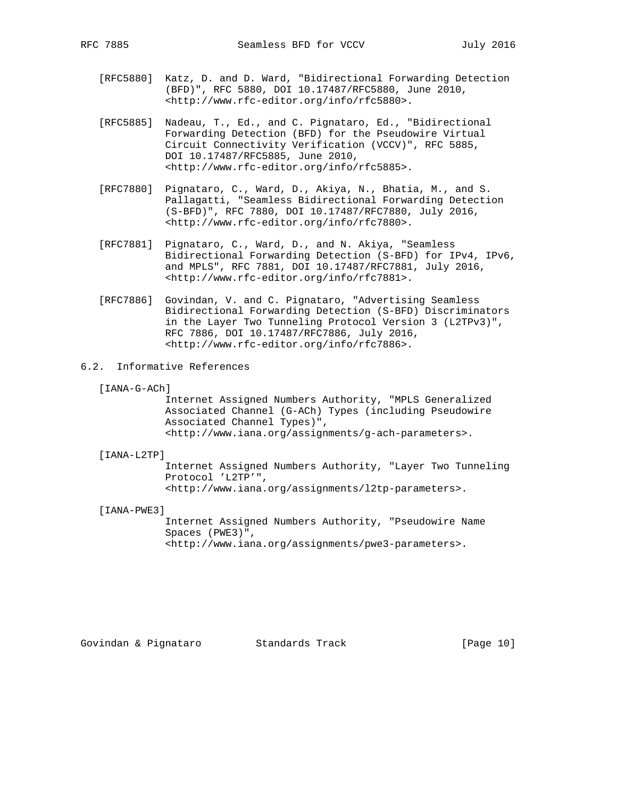- [RFC5880] Katz, D. and D. Ward, "Bidirectional Forwarding Detection (BFD)", RFC 5880, DOI 10.17487/RFC5880, June 2010, <http://www.rfc-editor.org/info/rfc5880>.
- [RFC5885] Nadeau, T., Ed., and C. Pignataro, Ed., "Bidirectional Forwarding Detection (BFD) for the Pseudowire Virtual Circuit Connectivity Verification (VCCV)", RFC 5885, DOI 10.17487/RFC5885, June 2010, <http://www.rfc-editor.org/info/rfc5885>.
- [RFC7880] Pignataro, C., Ward, D., Akiya, N., Bhatia, M., and S. Pallagatti, "Seamless Bidirectional Forwarding Detection (S-BFD)", RFC 7880, DOI 10.17487/RFC7880, July 2016, <http://www.rfc-editor.org/info/rfc7880>.
- [RFC7881] Pignataro, C., Ward, D., and N. Akiya, "Seamless Bidirectional Forwarding Detection (S-BFD) for IPv4, IPv6, and MPLS", RFC 7881, DOI 10.17487/RFC7881, July 2016, <http://www.rfc-editor.org/info/rfc7881>.
- [RFC7886] Govindan, V. and C. Pignataro, "Advertising Seamless Bidirectional Forwarding Detection (S-BFD) Discriminators in the Layer Two Tunneling Protocol Version 3 (L2TPv3)", RFC 7886, DOI 10.17487/RFC7886, July 2016, <http://www.rfc-editor.org/info/rfc7886>.
- 6.2. Informative References
	- [IANA-G-ACh]

 Internet Assigned Numbers Authority, "MPLS Generalized Associated Channel (G-ACh) Types (including Pseudowire Associated Channel Types)", <http://www.iana.org/assignments/g-ach-parameters>.

### [IANA-L2TP]

 Internet Assigned Numbers Authority, "Layer Two Tunneling Protocol 'L2TP'", <http://www.iana.org/assignments/l2tp-parameters>.

[IANA-PWE3]

 Internet Assigned Numbers Authority, "Pseudowire Name Spaces (PWE3)", <http://www.iana.org/assignments/pwe3-parameters>.